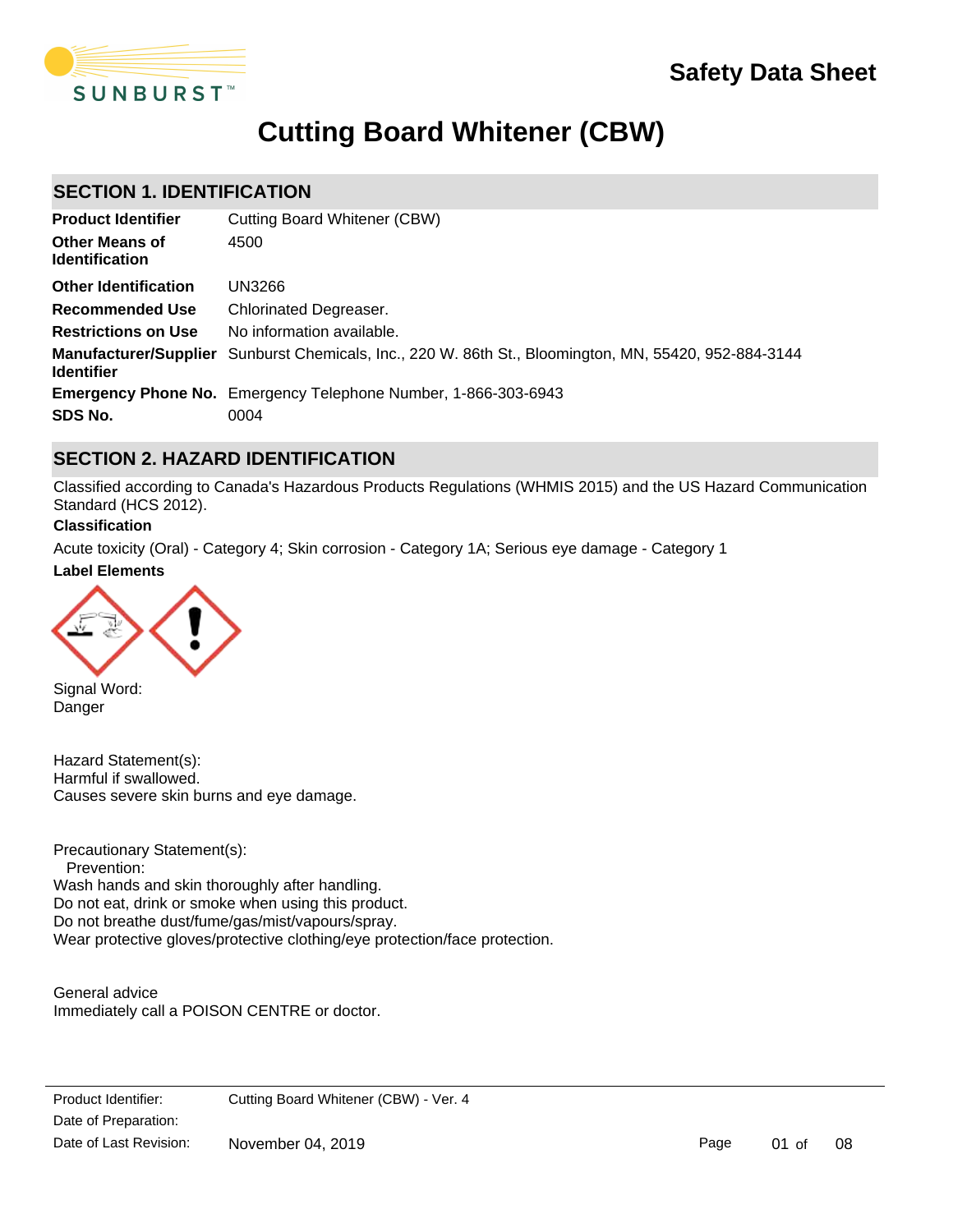

# **Cutting Board Whitener (CBW)**

# **SECTION 1. IDENTIFICATION**

| <b>Product Identifier</b>                      | Cutting Board Whitener (CBW)                                                                                 |
|------------------------------------------------|--------------------------------------------------------------------------------------------------------------|
| <b>Other Means of</b><br><b>Identification</b> | 4500                                                                                                         |
| <b>Other Identification</b>                    | UN3266                                                                                                       |
| <b>Recommended Use</b>                         | <b>Chlorinated Degreaser.</b>                                                                                |
| <b>Restrictions on Use</b>                     | No information available.                                                                                    |
| <b>Identifier</b>                              | <b>Manufacturer/Supplier</b> Sunburst Chemicals, Inc., 220 W. 86th St., Bloomington, MN, 55420, 952-884-3144 |
|                                                | <b>Emergency Phone No.</b> Emergency Telephone Number, 1-866-303-6943                                        |
| SDS No.                                        | 0004                                                                                                         |

# **SECTION 2. HAZARD IDENTIFICATION**

Classified according to Canada's Hazardous Products Regulations (WHMIS 2015) and the US Hazard Communication Standard (HCS 2012).

#### **Classification**

**Label Elements** Acute toxicity (Oral) - Category 4; Skin corrosion - Category 1A; Serious eye damage - Category 1



Signal Word: Danger

Hazard Statement(s): Harmful if swallowed. Causes severe skin burns and eye damage.

Precautionary Statement(s): Prevention: Wash hands and skin thoroughly after handling. Do not eat, drink or smoke when using this product. Do not breathe dust/fume/gas/mist/vapours/spray. Wear protective gloves/protective clothing/eye protection/face protection.

General advice Immediately call a POISON CENTRE or doctor.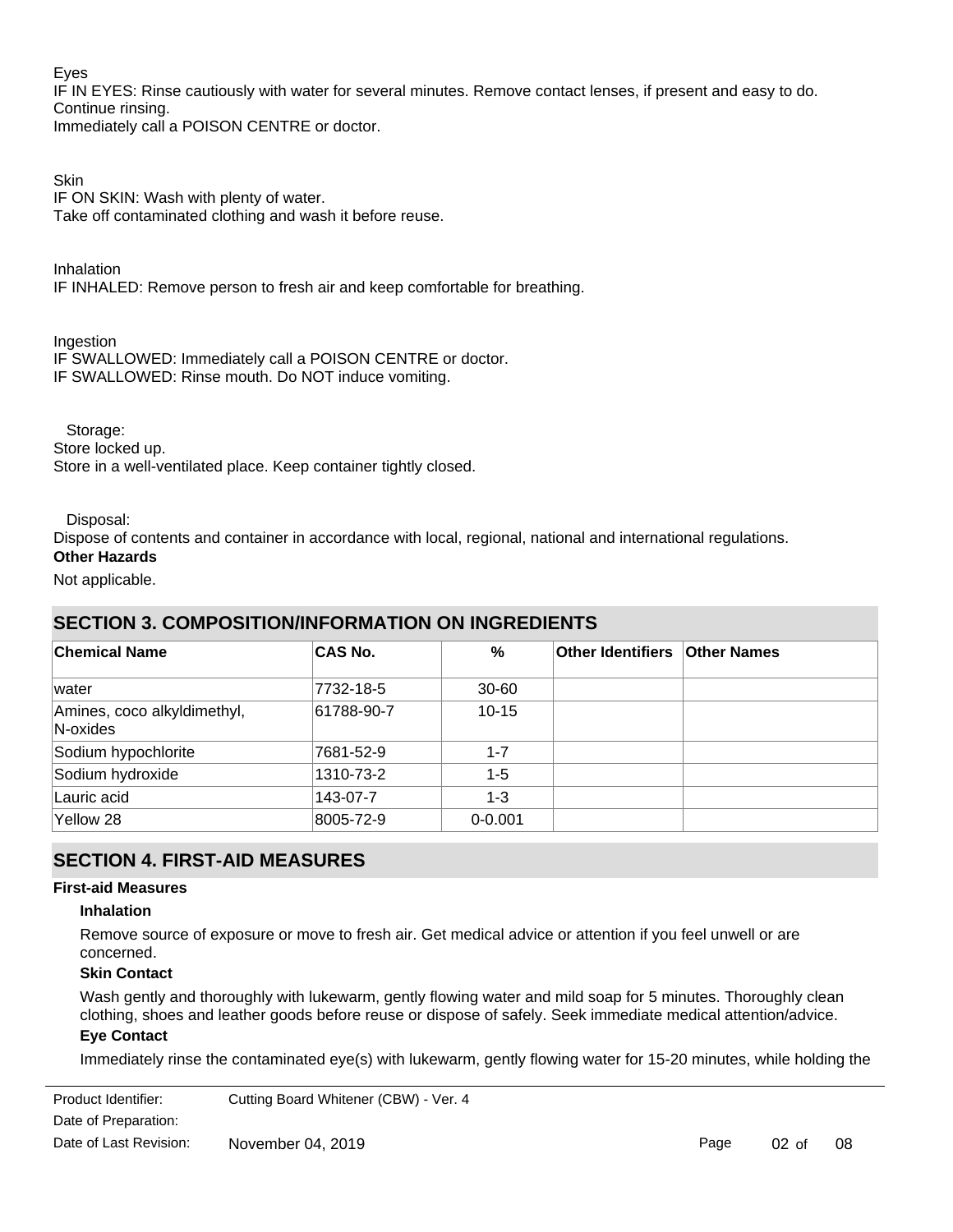#### Eyes

IF IN EYES: Rinse cautiously with water for several minutes. Remove contact lenses, if present and easy to do. Continue rinsing.

Immediately call a POISON CENTRE or doctor.

### Skin

IF ON SKIN: Wash with plenty of water. Take off contaminated clothing and wash it before reuse.

Inhalation IF INHALED: Remove person to fresh air and keep comfortable for breathing.

Ingestion

IF SWALLOWED: Immediately call a POISON CENTRE or doctor. IF SWALLOWED: Rinse mouth. Do NOT induce vomiting.

Storage:

Store locked up.

Store in a well-ventilated place. Keep container tightly closed.

#### Disposal:

Dispose of contents and container in accordance with local, regional, national and international regulations.

**Other Hazards**

#### Not applicable.

# **SECTION 3. COMPOSITION/INFORMATION ON INGREDIENTS**

| <b>Chemical Name</b>                    | <b>CAS No.</b> | %           | Other Identifiers   Other Names |  |
|-----------------------------------------|----------------|-------------|---------------------------------|--|
| water                                   | 7732-18-5      | $30 - 60$   |                                 |  |
| Amines, coco alkyldimethyl,<br>N-oxides | 61788-90-7     | $10 - 15$   |                                 |  |
| Sodium hypochlorite                     | 7681-52-9      | $1 - 7$     |                                 |  |
| Sodium hydroxide                        | 1310-73-2      | $1 - 5$     |                                 |  |
| Lauric acid                             | 143-07-7       | $1 - 3$     |                                 |  |
| Yellow 28                               | 8005-72-9      | $0 - 0.001$ |                                 |  |

# **SECTION 4. FIRST-AID MEASURES**

#### **First-aid Measures**

#### **Inhalation**

Remove source of exposure or move to fresh air. Get medical advice or attention if you feel unwell or are concerned.

#### **Skin Contact**

Wash gently and thoroughly with lukewarm, gently flowing water and mild soap for 5 minutes. Thoroughly clean clothing, shoes and leather goods before reuse or dispose of safely. Seek immediate medical attention/advice. **Eye Contact**

Immediately rinse the contaminated eye(s) with lukewarm, gently flowing water for 15-20 minutes, while holding the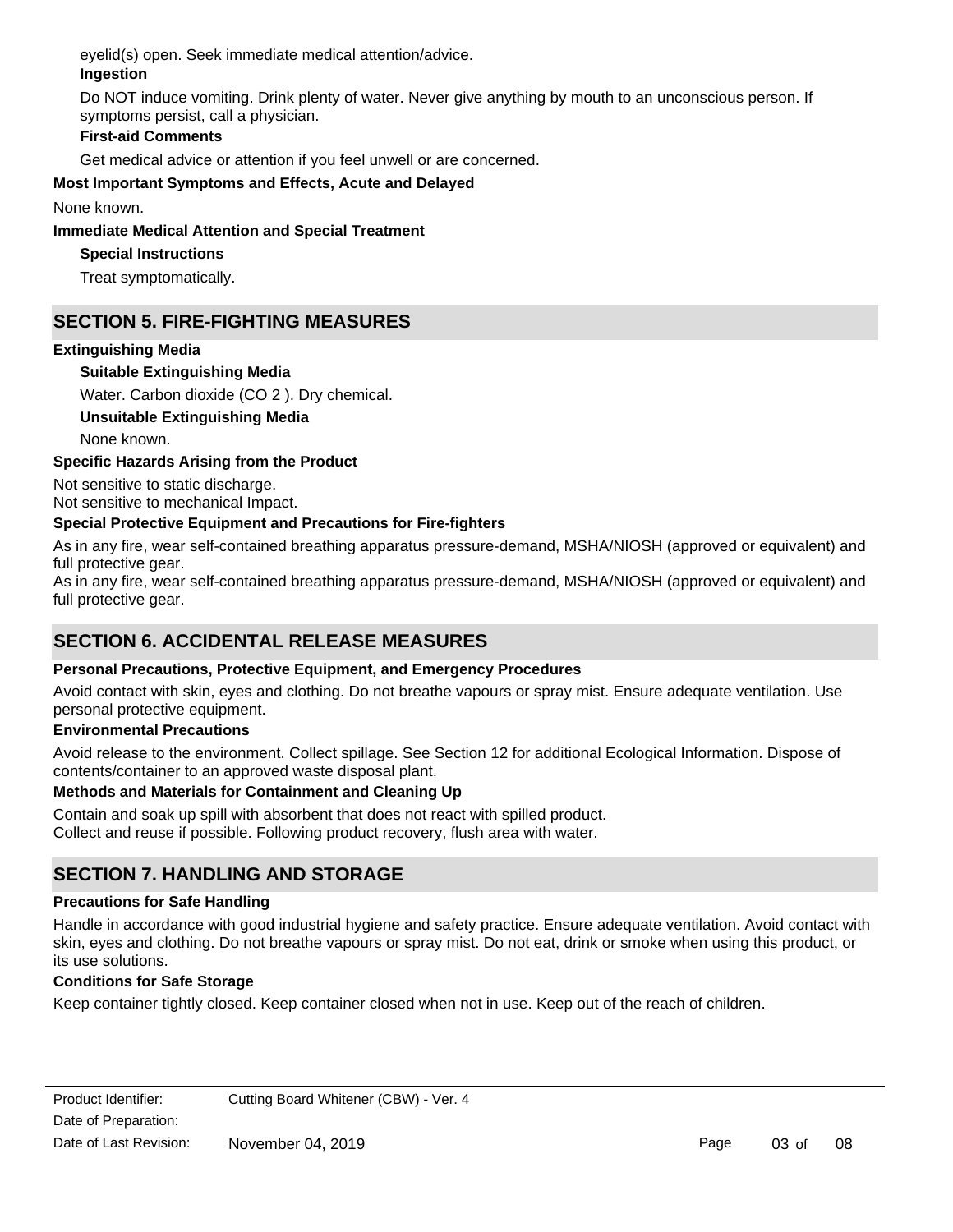eyelid(s) open. Seek immediate medical attention/advice.

# **Ingestion**

Do NOT induce vomiting. Drink plenty of water. Never give anything by mouth to an unconscious person. If symptoms persist, call a physician.

# **First-aid Comments**

Get medical advice or attention if you feel unwell or are concerned.

# **Most Important Symptoms and Effects, Acute and Delayed**

None known.

### **Immediate Medical Attention and Special Treatment**

# **Special Instructions**

Treat symptomatically.

# **SECTION 5. FIRE-FIGHTING MEASURES**

### **Extinguishing Media**

### **Suitable Extinguishing Media**

Water. Carbon dioxide (CO 2 ). Dry chemical.

# **Unsuitable Extinguishing Media**

None known.

### **Specific Hazards Arising from the Product**

Not sensitive to static discharge. Not sensitive to mechanical Impact.

# **Special Protective Equipment and Precautions for Fire-fighters**

As in any fire, wear self-contained breathing apparatus pressure-demand, MSHA/NIOSH (approved or equivalent) and full protective gear.

As in any fire, wear self-contained breathing apparatus pressure-demand, MSHA/NIOSH (approved or equivalent) and full protective gear.

# **SECTION 6. ACCIDENTAL RELEASE MEASURES**

### **Personal Precautions, Protective Equipment, and Emergency Procedures**

Avoid contact with skin, eyes and clothing. Do not breathe vapours or spray mist. Ensure adequate ventilation. Use personal protective equipment.

### **Environmental Precautions**

Avoid release to the environment. Collect spillage. See Section 12 for additional Ecological Information. Dispose of contents/container to an approved waste disposal plant.

### **Methods and Materials for Containment and Cleaning Up**

Contain and soak up spill with absorbent that does not react with spilled product. Collect and reuse if possible. Following product recovery, flush area with water.

# **SECTION 7. HANDLING AND STORAGE**

### **Precautions for Safe Handling**

Handle in accordance with good industrial hygiene and safety practice. Ensure adequate ventilation. Avoid contact with skin, eyes and clothing. Do not breathe vapours or spray mist. Do not eat, drink or smoke when using this product, or its use solutions.

### **Conditions for Safe Storage**

Keep container tightly closed. Keep container closed when not in use. Keep out of the reach of children.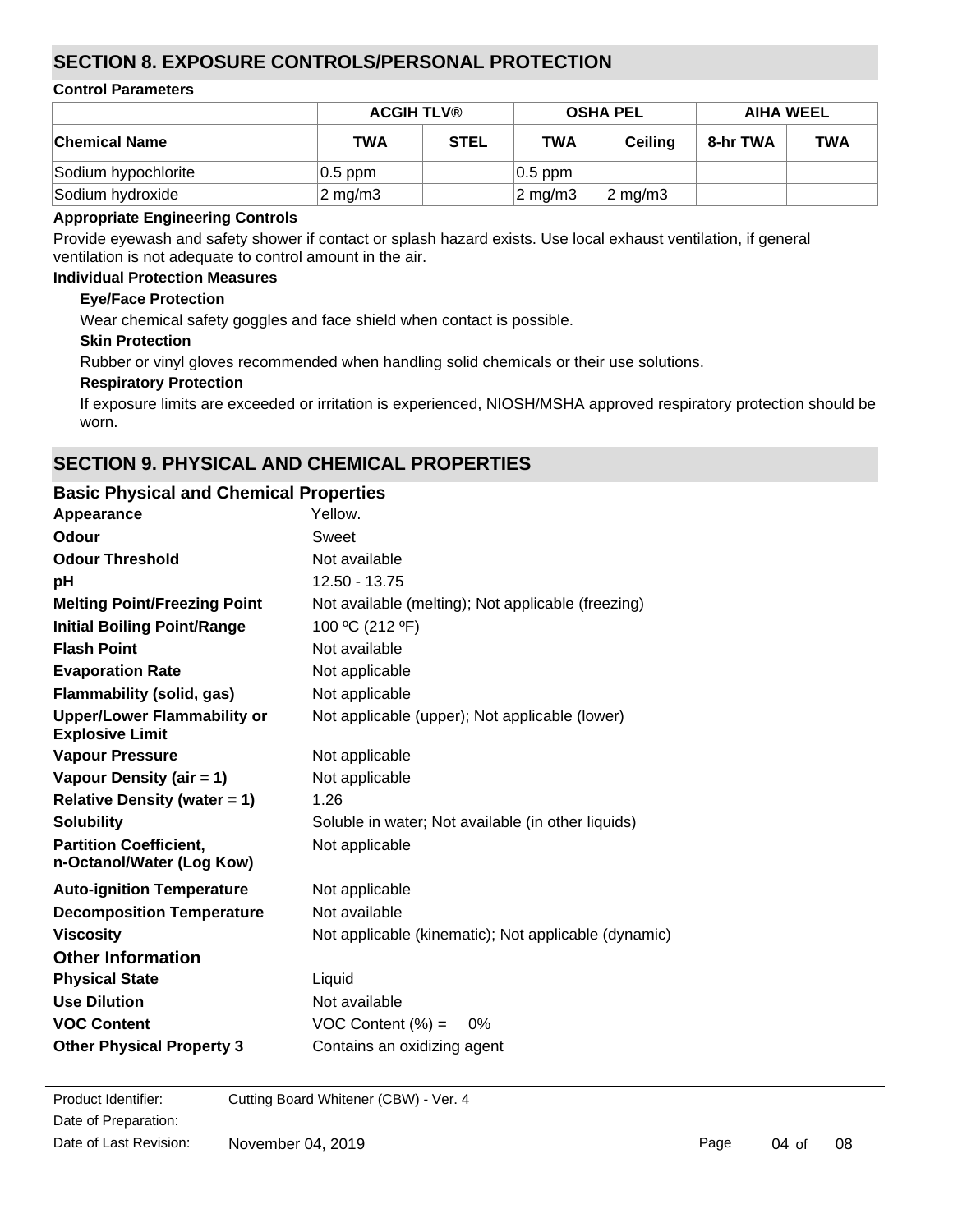# **SECTION 8. EXPOSURE CONTROLS/PERSONAL PROTECTION**

#### **Control Parameters**

|                      | <b>ACGIH TLV®</b>  |             | <b>OSHA PEL</b>    |                    | <b>AIHA WEEL</b> |            |
|----------------------|--------------------|-------------|--------------------|--------------------|------------------|------------|
| <b>Chemical Name</b> | TWA                | <b>STEL</b> | <b>TWA</b>         | <b>Ceiling</b>     | 8-hr TWA         | <b>TWA</b> |
| Sodium hypochlorite  | $ 0.5$ ppm         |             | $ 0.5$ ppm         |                    |                  |            |
| Sodium hydroxide     | $2 \text{ mg/m}$ 3 |             | $2 \text{ mg/m}$ 3 | $2 \text{ mg/m}$ 3 |                  |            |

#### **Appropriate Engineering Controls**

Provide eyewash and safety shower if contact or splash hazard exists. Use local exhaust ventilation, if general ventilation is not adequate to control amount in the air.

#### **Individual Protection Measures**

#### **Eye/Face Protection**

Wear chemical safety goggles and face shield when contact is possible.

#### **Skin Protection**

Rubber or vinyl gloves recommended when handling solid chemicals or their use solutions.

#### **Respiratory Protection**

If exposure limits are exceeded or irritation is experienced, NIOSH/MSHA approved respiratory protection should be worn.

# **SECTION 9. PHYSICAL AND CHEMICAL PROPERTIES**

# **Basic Physical and Chemical Properties**

| Appearance                                                   | Yellow.                                              |
|--------------------------------------------------------------|------------------------------------------------------|
| Odour                                                        | Sweet                                                |
| <b>Odour Threshold</b>                                       | Not available                                        |
| pH                                                           | 12.50 - 13.75                                        |
| <b>Melting Point/Freezing Point</b>                          | Not available (melting); Not applicable (freezing)   |
| <b>Initial Boiling Point/Range</b>                           | 100 °C (212 °F)                                      |
| <b>Flash Point</b>                                           | Not available                                        |
| <b>Evaporation Rate</b>                                      | Not applicable                                       |
| Flammability (solid, gas)                                    | Not applicable                                       |
| <b>Upper/Lower Flammability or</b><br><b>Explosive Limit</b> | Not applicable (upper); Not applicable (lower)       |
| <b>Vapour Pressure</b>                                       | Not applicable                                       |
| Vapour Density (air = 1)                                     | Not applicable                                       |
| Relative Density (water = $1$ )                              | 1.26                                                 |
| <b>Solubility</b>                                            | Soluble in water; Not available (in other liquids)   |
| <b>Partition Coefficient,</b><br>n-Octanol/Water (Log Kow)   | Not applicable                                       |
| <b>Auto-ignition Temperature</b>                             | Not applicable                                       |
| <b>Decomposition Temperature</b>                             | Not available                                        |
| <b>Viscosity</b>                                             | Not applicable (kinematic); Not applicable (dynamic) |
| <b>Other Information</b>                                     |                                                      |
| <b>Physical State</b>                                        | Liquid                                               |
| <b>Use Dilution</b>                                          | Not available                                        |
| <b>VOC Content</b>                                           | VOC Content $(\%) =$<br>0%                           |
| <b>Other Physical Property 3</b>                             | Contains an oxidizing agent                          |
|                                                              |                                                      |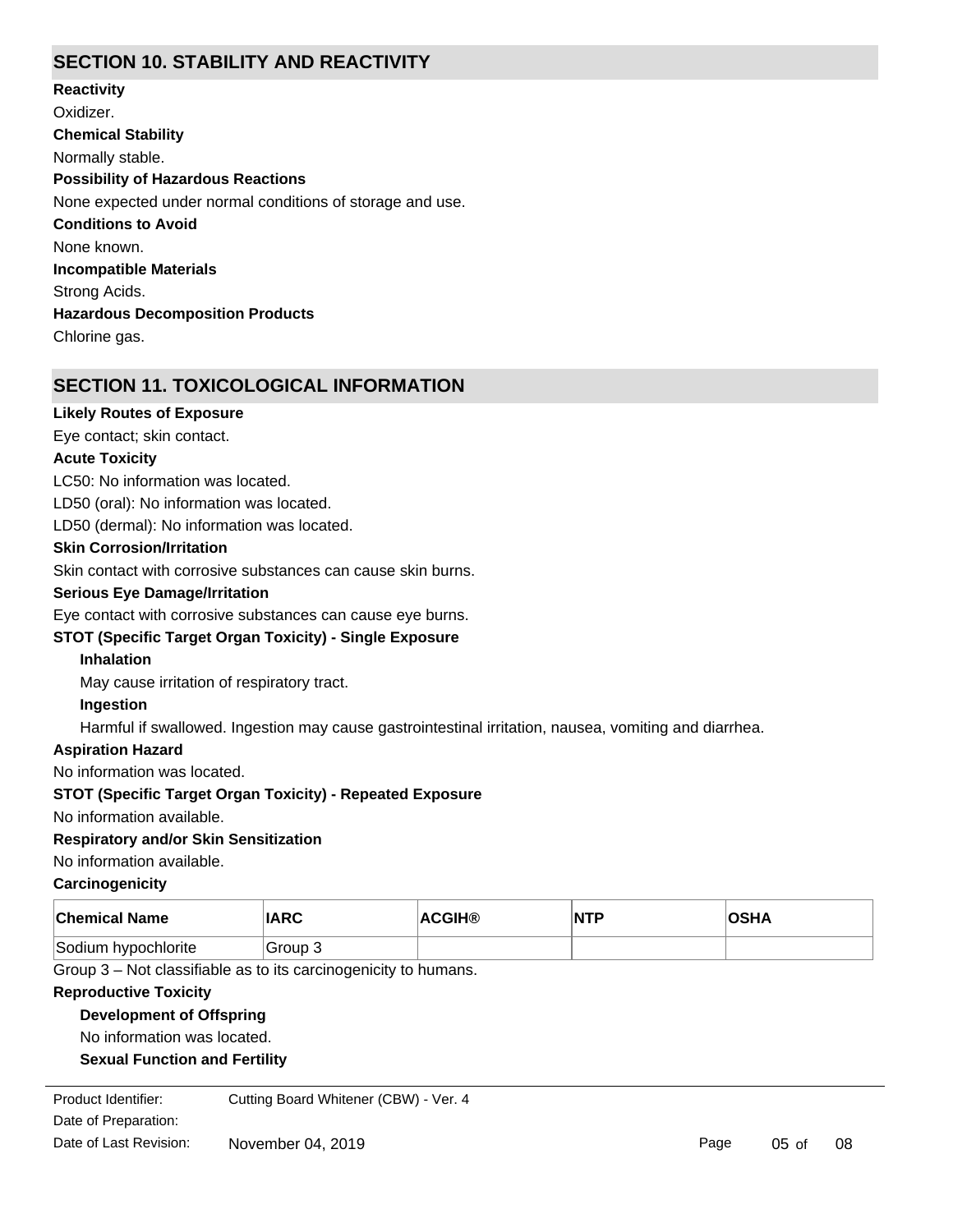# **SECTION 10. STABILITY AND REACTIVITY**

**Chemical Stability** Normally stable. **Conditions to Avoid** None known. **Incompatible Materials** Strong Acids. **Hazardous Decomposition Products** Chlorine gas. **Possibility of Hazardous Reactions** None expected under normal conditions of storage and use. **Reactivity** Oxidizer.

# **SECTION 11. TOXICOLOGICAL INFORMATION**

#### **Likely Routes of Exposure**

Eye contact; skin contact.

#### **Acute Toxicity**

LC50: No information was located.

LD50 (oral): No information was located.

LD50 (dermal): No information was located.

#### **Skin Corrosion/Irritation**

Skin contact with corrosive substances can cause skin burns.

#### **Serious Eye Damage/Irritation**

Eye contact with corrosive substances can cause eye burns.

### **STOT (Specific Target Organ Toxicity) - Single Exposure**

#### **Inhalation**

May cause irritation of respiratory tract.

#### **Ingestion**

Harmful if swallowed. Ingestion may cause gastrointestinal irritation, nausea, vomiting and diarrhea.

#### **Aspiration Hazard**

No information was located.

#### **STOT (Specific Target Organ Toxicity) - Repeated Exposure**

No information available.

#### **Respiratory and/or Skin Sensitization**

No information available.

#### **Carcinogenicity**

| <b>Chemical Name</b> | <b>IARC</b> | <b>ACGIH®</b> | <b>NTP</b> | <b>OSHA</b> |
|----------------------|-------------|---------------|------------|-------------|
| Sodium hypochlorite  | Group 3     |               |            |             |

Group 3 – Not classifiable as to its carcinogenicity to humans.

#### **Reproductive Toxicity**

#### **Development of Offspring**

No information was located.

#### **Sexual Function and Fertility**

No information was located. Date of Preparation: Product Identifier: Cutting Board Whitener (CBW) - Ver. 4 Date of Last Revision: November 04, 2019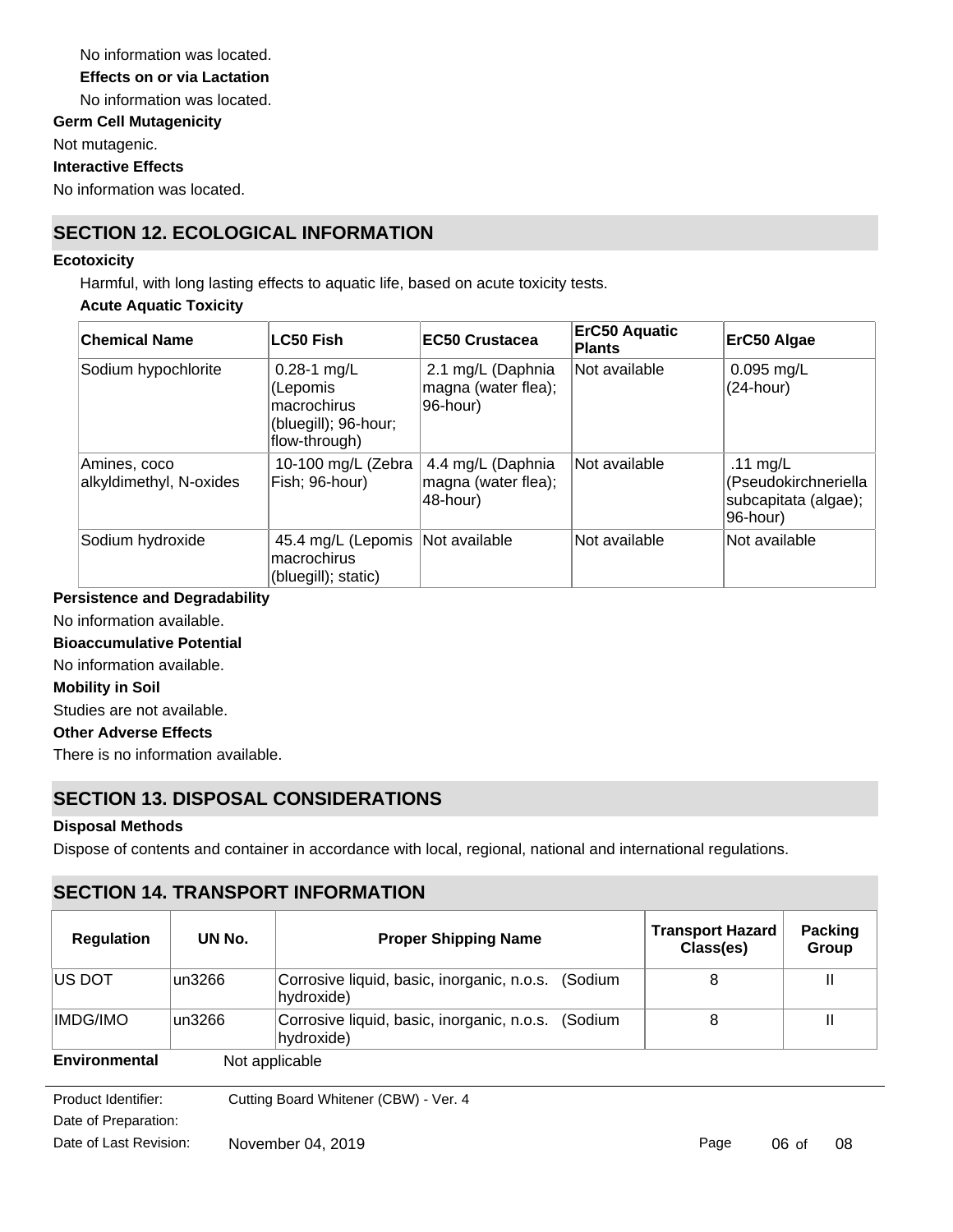No information was located. **Germ Cell Mutagenicity** Not mutagenic. **Effects on or via Lactation** No information was located.

**Interactive Effects**

No information was located.

# **SECTION 12. ECOLOGICAL INFORMATION**

#### **Ecotoxicity**

Harmful, with long lasting effects to aquatic life, based on acute toxicity tests.

#### **Acute Aquatic Toxicity**

| <b>Chemical Name</b>                    | LC50 Fish                                                                           | <b>EC50 Crustacea</b>                                | <b>ErC50 Aquatic</b><br><b>Plants</b> | ErC50 Algae                                                            |
|-----------------------------------------|-------------------------------------------------------------------------------------|------------------------------------------------------|---------------------------------------|------------------------------------------------------------------------|
| Sodium hypochlorite                     | $0.28 - 1$ mg/L<br>(Lepomis<br>macrochirus<br>(bluegill); 96-hour;<br>flow-through) | 2.1 mg/L (Daphnia<br>magna (water flea);<br>96-hour) | Not available                         | $0.095$ mg/L<br>$(24$ -hour)                                           |
| Amines, coco<br>alkyldimethyl, N-oxides | 10-100 mg/L (Zebra<br>Fish; 96-hour)                                                | 4.4 mg/L (Daphnia<br>magna (water flea);<br>48-hour) | Not available                         | .11 $mg/L$<br>(Pseudokirchneriella<br>subcapitata (algae);<br>96-hour) |
| Sodium hydroxide                        | 45.4 mg/L (Lepomis   Not available<br>macrochirus<br>(bluegill); static)            |                                                      | Not available                         | Not available                                                          |

#### **Persistence and Degradability**

No information available.

#### **Bioaccumulative Potential**

No information available.

#### **Mobility in Soil**

Studies are not available.

#### **Other Adverse Effects**

There is no information available.

# **SECTION 13. DISPOSAL CONSIDERATIONS**

**SECTION 14. TRANSPORT INFORMATION**

#### **Disposal Methods**

Dispose of contents and container in accordance with local, regional, national and international regulations.

| <b>SECTION 14. IRANSFURT INFORMATION</b> |        |                                                                     |                                      |                  |  |  |
|------------------------------------------|--------|---------------------------------------------------------------------|--------------------------------------|------------------|--|--|
| <b>Regulation</b>                        | UN No. | <b>Proper Shipping Name</b>                                         | <b>Transport Hazard</b><br>Class(es) | Packing<br>Group |  |  |
| <b>IUS DOT</b>                           | un3266 | Corrosive liquid, basic, inorganic, n.o.s.<br>(Sodium<br>hydroxide) | 8                                    | Ш                |  |  |
| IMDG/IMO                                 | un3266 | Corrosive liquid, basic, inorganic, n.o.s. (Sodium<br>hydroxide)    | 8                                    | Ш                |  |  |
| Environmental                            |        | Not applicable                                                      |                                      |                  |  |  |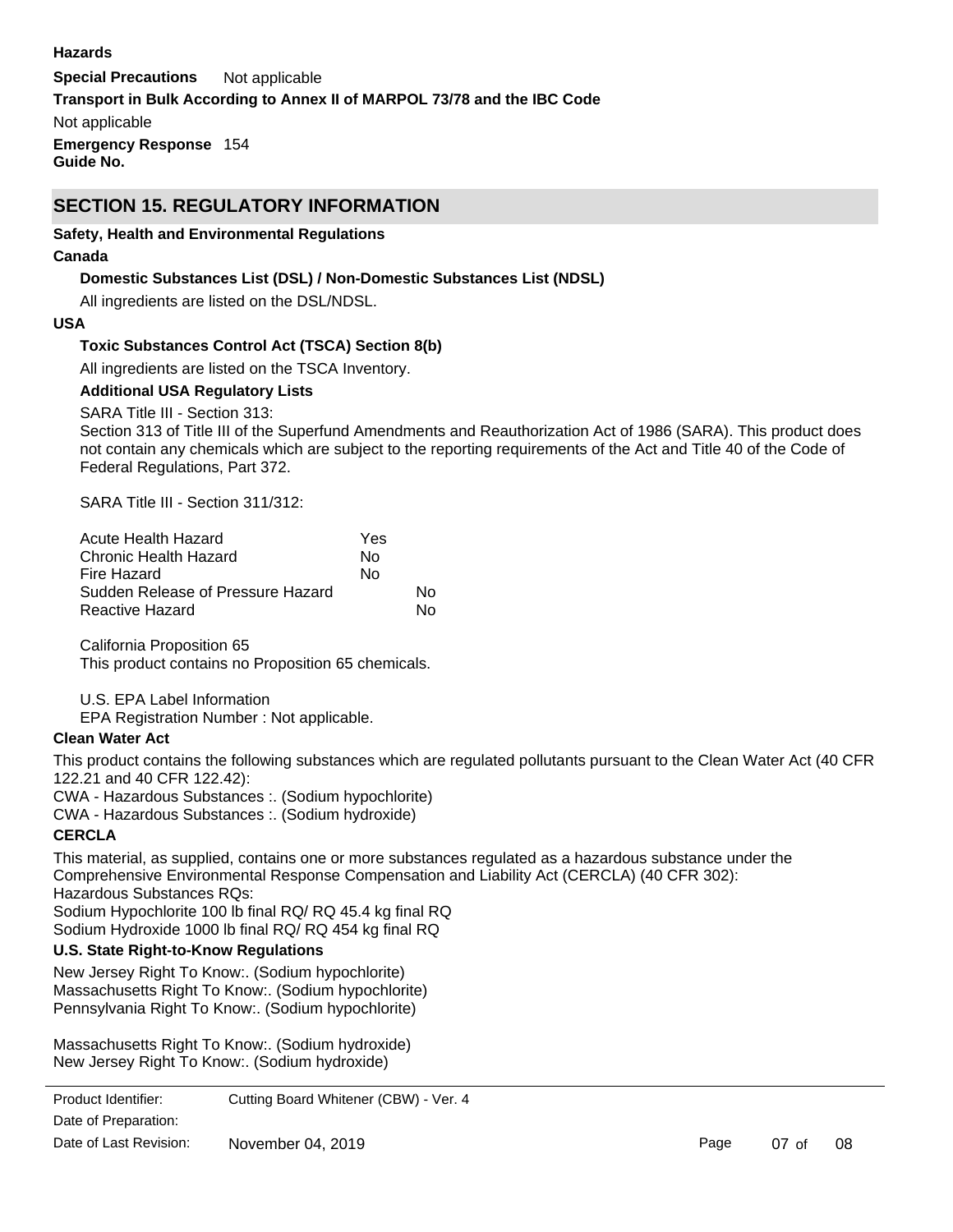#### **Hazards**

**Special Precautions** Not applicable **Emergency Response** 154 **Guide No. Transport in Bulk According to Annex II of MARPOL 73/78 and the IBC Code** Not applicable

# **SECTION 15. REGULATORY INFORMATION**

#### **Safety, Health and Environmental Regulations**

#### **Canada**

#### **Domestic Substances List (DSL) / Non-Domestic Substances List (NDSL)**

All ingredients are listed on the DSL/NDSL.

#### **USA**

#### **Toxic Substances Control Act (TSCA) Section 8(b)**

All ingredients are listed on the TSCA Inventory.

#### **Additional USA Regulatory Lists**

SARA Title III - Section 313:

Section 313 of Title III of the Superfund Amendments and Reauthorization Act of 1986 (SARA). This product does not contain any chemicals which are subject to the reporting requirements of the Act and Title 40 of the Code of Federal Regulations, Part 372.

SARA Title III - Section 311/312:

| Acute Health Hazard               | Yes |    |
|-----------------------------------|-----|----|
| Chronic Health Hazard             | N٥  |    |
| Fire Hazard                       | No  |    |
| Sudden Release of Pressure Hazard |     | N٥ |
| Reactive Hazard                   |     | N٥ |

California Proposition 65 This product contains no Proposition 65 chemicals.

U.S. EPA Label Information

EPA Registration Number : Not applicable.

#### **Clean Water Act**

This product contains the following substances which are regulated pollutants pursuant to the Clean Water Act (40 CFR 122.21 and 40 CFR 122.42):

CWA - Hazardous Substances :. (Sodium hypochlorite)

CWA - Hazardous Substances :. (Sodium hydroxide)

#### **CERCLA**

This material, as supplied, contains one or more substances regulated as a hazardous substance under the Comprehensive Environmental Response Compensation and Liability Act (CERCLA) (40 CFR 302): Hazardous Substances RQs: Sodium Hypochlorite 100 lb final RQ/ RQ 45.4 kg final RQ

Sodium Hydroxide 1000 lb final RQ/ RQ 454 kg final RQ

### **U.S. State Right-to-Know Regulations**

New Jersey Right To Know:. (Sodium hypochlorite) Massachusetts Right To Know:. (Sodium hypochlorite) Pennsylvania Right To Know:. (Sodium hypochlorite)

Massachusetts Right To Know:. (Sodium hydroxide) New Jersey Right To Know:. (Sodium hydroxide)

Pennsylvania Right To Know:. (Sodium hydroxide) Product Identifier: Cutting Board Whitener (CBW) - Ver. 4 Date of Preparation: Date of Last Revision: November 04, 2019